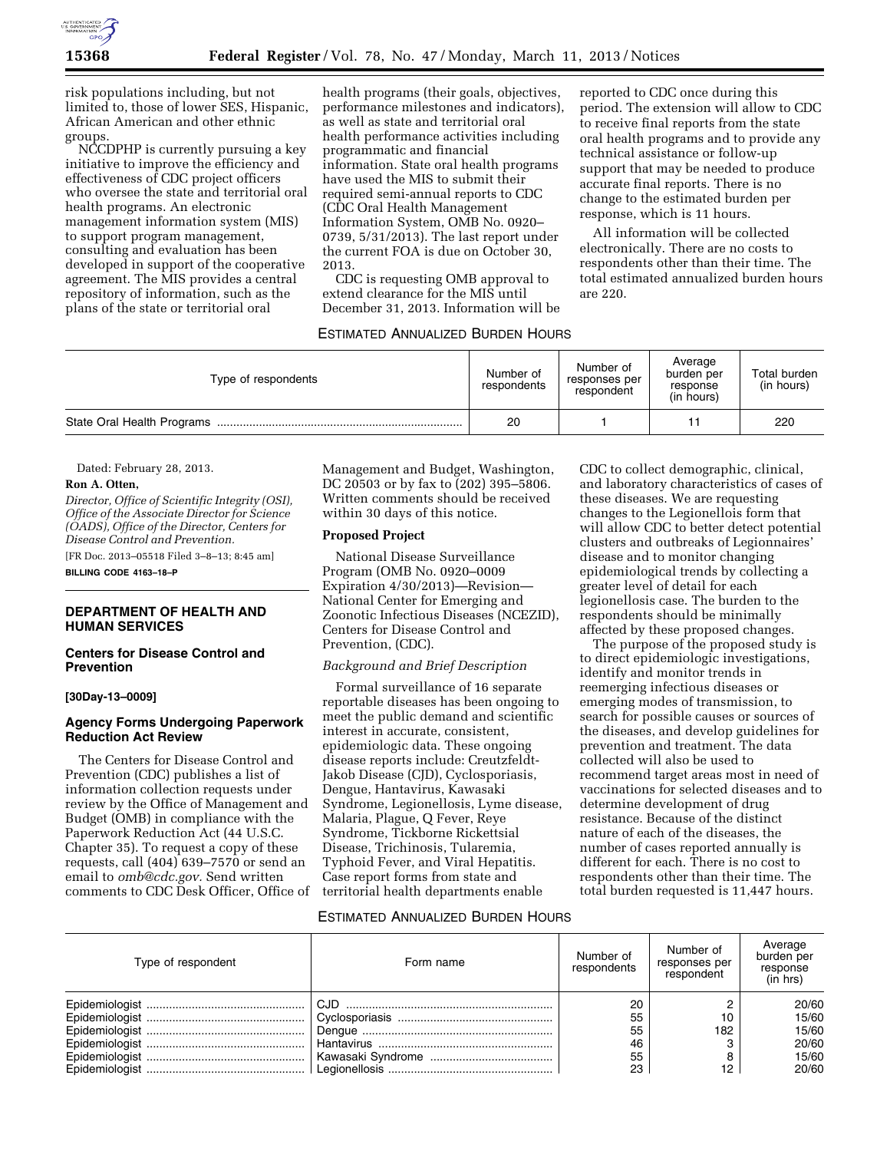

risk populations including, but not limited to, those of lower SES, Hispanic, African American and other ethnic groups.

NCCDPHP is currently pursuing a key initiative to improve the efficiency and effectiveness of CDC project officers who oversee the state and territorial oral health programs. An electronic management information system (MIS) to support program management, consulting and evaluation has been developed in support of the cooperative agreement. The MIS provides a central repository of information, such as the plans of the state or territorial oral

health programs (their goals, objectives, performance milestones and indicators), as well as state and territorial oral health performance activities including programmatic and financial information. State oral health programs have used the MIS to submit their required semi-annual reports to CDC (CDC Oral Health Management Information System, OMB No. 0920– 0739, 5/31/2013). The last report under the current FOA is due on October 30, 2013.

CDC is requesting OMB approval to extend clearance for the MIS until December 31, 2013. Information will be

# ESTIMATED ANNUALIZED BURDEN HOURS

reported to CDC once during this period. The extension will allow to CDC to receive final reports from the state oral health programs and to provide any technical assistance or follow-up support that may be needed to produce accurate final reports. There is no change to the estimated burden per response, which is 11 hours.

All information will be collected electronically. There are no costs to respondents other than their time. The total estimated annualized burden hours are 220.

| Type of respondents | Number of<br>respondents | Number of<br>responses per<br>respondent | Average<br>burden per<br>response<br>(in hours) | Total burden<br>(in hours) |
|---------------------|--------------------------|------------------------------------------|-------------------------------------------------|----------------------------|
|                     | 20                       |                                          |                                                 | 220                        |

Dated: February 28, 2013.

#### **Ron A. Otten,**

*Director, Office of Scientific Integrity (OSI), Office of the Associate Director for Science (OADS), Office of the Director, Centers for Disease Control and Prevention.* 

[FR Doc. 2013–05518 Filed 3–8–13; 8:45 am] **BILLING CODE 4163–18–P** 

#### **DEPARTMENT OF HEALTH AND HUMAN SERVICES**

### **Centers for Disease Control and Prevention**

### **[30Day-13–0009]**

# **Agency Forms Undergoing Paperwork Reduction Act Review**

The Centers for Disease Control and Prevention (CDC) publishes a list of information collection requests under review by the Office of Management and Budget (OMB) in compliance with the Paperwork Reduction Act (44 U.S.C. Chapter 35). To request a copy of these requests, call (404) 639–7570 or send an email to *[omb@cdc.gov.](mailto:omb@cdc.gov)* Send written comments to CDC Desk Officer, Office of Management and Budget, Washington, DC 20503 or by fax to (202) 395–5806. Written comments should be received within 30 days of this notice.

### **Proposed Project**

National Disease Surveillance Program (OMB No. 0920–0009 Expiration 4/30/2013)—Revision— National Center for Emerging and Zoonotic Infectious Diseases (NCEZID), Centers for Disease Control and Prevention, (CDC).

#### *Background and Brief Description*

Formal surveillance of 16 separate reportable diseases has been ongoing to meet the public demand and scientific interest in accurate, consistent, epidemiologic data. These ongoing disease reports include: Creutzfeldt-Jakob Disease (CJD), Cyclosporiasis, Dengue, Hantavirus, Kawasaki Syndrome, Legionellosis, Lyme disease, Malaria, Plague, Q Fever, Reye Syndrome, Tickborne Rickettsial Disease, Trichinosis, Tularemia, Typhoid Fever, and Viral Hepatitis. Case report forms from state and territorial health departments enable

CDC to collect demographic, clinical, and laboratory characteristics of cases of these diseases. We are requesting changes to the Legionellois form that will allow CDC to better detect potential clusters and outbreaks of Legionnaires' disease and to monitor changing epidemiological trends by collecting a greater level of detail for each legionellosis case. The burden to the respondents should be minimally affected by these proposed changes.

The purpose of the proposed study is to direct epidemiologic investigations, identify and monitor trends in reemerging infectious diseases or emerging modes of transmission, to search for possible causes or sources of the diseases, and develop guidelines for prevention and treatment. The data collected will also be used to recommend target areas most in need of vaccinations for selected diseases and to determine development of drug resistance. Because of the distinct nature of each of the diseases, the number of cases reported annually is different for each. There is no cost to respondents other than their time. The total burden requested is 11,447 hours.

#### ESTIMATED ANNUALIZED BURDEN HOURS

| Type of respondent | Form name | Number of<br>respondents | Number of<br>responses per<br>respondent | Average<br>burden per<br>response<br>(in hrs) |
|--------------------|-----------|--------------------------|------------------------------------------|-----------------------------------------------|
|                    | CJD.      | 20                       |                                          | 20/60                                         |
|                    |           | 55                       |                                          | 15/60                                         |
|                    |           | 55                       | 182                                      | 15/60                                         |
|                    |           | 46                       |                                          | 20/60                                         |
|                    |           | 55                       |                                          | 15/60                                         |
|                    |           | 23                       |                                          | 20/60                                         |